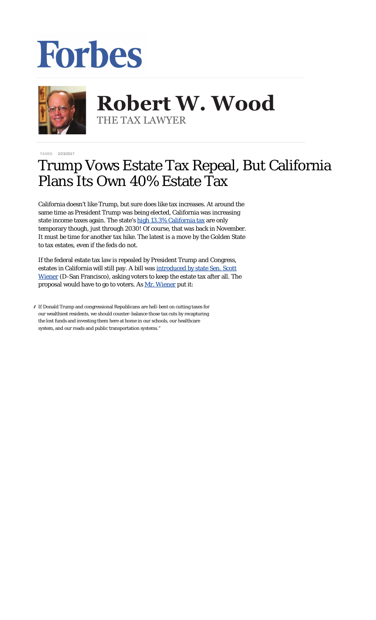## Forbes



**Robert W. Wood Robert W. Wood** THE TAX LAWYER THE TAX LAWYER

**[TAXES](https://www.forbes.com/taxes)** 2/23/2017

## Trump Vows Estate Tax Repeal, But California Plans Its Own 40% Estate Tax

California doesn't like Trump, but sure does like tax increases. At around the same time as President Trump was being elected, California was increasing state income taxes again. The state's [high 13.3% California tax](https://www.google.com/url?sa=t&rct=j&q=&esrc=s&source=web&cd=1&cad=rja&uact=8&ved=0ahUKEwjsrfL2x6XSAhUJQiYKHT6zDD4QFggcMAA&url=http%3A%2F%2Fwww.forbes.com%2Fsites%2Frobertwood%2F2016%2F11%2F21%2Fas-trump-tax-cuts-emerge-high-13-3-california-tax-spells-exodus%2F&usg=AFQjCNEr0mxDZBnCOo2Qy6Bq5sYiJLFtAA) are only temporary though, just through 2030! Of course, that was back in November. It must be time for another tax hike. The latest is a move by the Golden State to tax estates, even if the feds do not.

If the federal estate tax law is repealed by President Trump and Congress, estates in California will *still* pay. A bill was [introduced by state Sen. Scott](http://sd11.senate.ca.gov/news/20170221-senator-wiener-announces-ballot-measure-create-california-estate-tax-replace-federal) [Wiener](http://sd11.senate.ca.gov/news/20170221-senator-wiener-announces-ballot-measure-create-california-estate-tax-replace-federal) (D-San Francisco), asking voters to keep the estate tax after all. The proposal would have to go to voters. As [Mr. Wiener](http://www.latimes.com/politics/essential/la-pol-ca-essential-politics-updates-if-republicans-in-washington-scrap-the-1487700603-htmlstory.html) put it:

" If Donald Trump and congressional Republicans are hell-bent on cutting taxes for our wealthiest residents, we should counter-balance those tax cuts by recapturing the lost funds and investing them here at home in our schools, our healthcare system, and our roads and public transportation systems."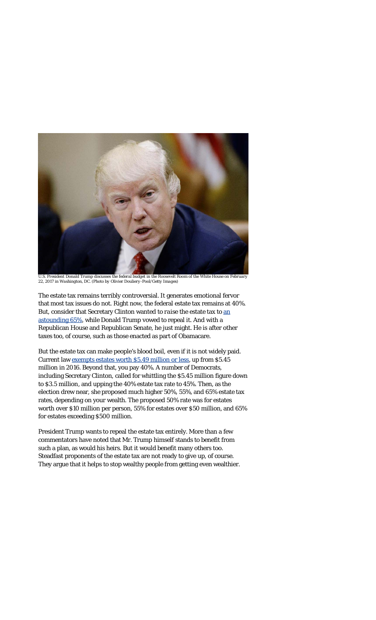

*U.S. President Donald Trump discusses the federal budget in the Roosevelt Room of the White House on February 22, 2017 in Washington, DC. (Photo by Olivier Douliery-Pool/Getty Images)*

The estate tax remains terribly controversial. It generates emotional fervor that most tax issues do not. Right now, the federal estate tax remains at 40%. But, consider that Secretary Clinton wanted to *raise* the estate tax to [an](http://www.forbes.com/sites/robertwood/2016/09/23/hillary-clintons-65-estate-tax-or-donald-trumps-repeal/#2a7dda6d5bf7) [astounding 65%](http://www.forbes.com/sites/robertwood/2016/09/23/hillary-clintons-65-estate-tax-or-donald-trumps-repeal/#2a7dda6d5bf7), while Donald Trump vowed to repeal it. And with a Republican House and Republican Senate, he just might. He is after other taxes too, of course, such as those enacted as part of Obamacare.

But the estate tax can make people's blood boil, even if it is not widely paid. Current law [exempts estates worth](https://www.irs.gov/businesses/small-businesses-self-employed/estate-tax) \$5.49 million or less, up from \$5.45 million in 2016. Beyond that, you pay 40%. A number of Democrats, including Secretary Clinton, called for whittling the \$5.45 million figure down to \$3.5 million, and upping the 40% estate tax rate to 45%. Then, as the election drew near, she proposed much higher 50%, 55%, and 65% estate tax rates, depending on your wealth. The proposed 50% rate was for estates worth over \$10 million per person, 55% for estates over \$50 million, and 65% for estates exceeding \$500 million.

President Trump wants to repeal the estate tax entirely. More than a few commentators have noted that Mr. Trump himself stands to benefit from such a plan, as would his heirs. But it would benefit many others too. Steadfast proponents of the estate tax are not ready to give up, of course. They argue that it helps to stop wealthy people from getting even wealthier.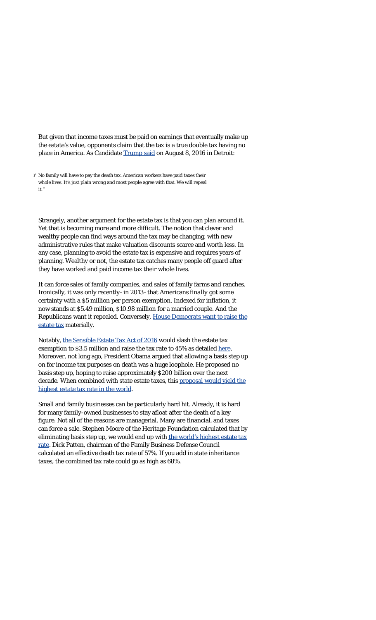But given that income taxes must be paid on earnings that eventually make up the estate's value, opponents claim that the tax is a true double tax having no place in America. As Candidate [Trump said](http://www.foxbusiness.com/politics/2016/08/08/trump-says-rip-to-death-tax.html) on August 8, 2016 in Detroit:

" No family will have to pay the death tax. American workers have paid taxes their whole lives. It's just plain wrong and most people agree with that. We will repeal it."

Strangely, another argument for the estate tax is that you can plan around it. Yet that is becoming more and more difficult. The notion that clever and wealthy people can find ways around the tax may be changing, with new administrative rules that make valuation discounts scarce and worth less. In any case, planning to avoid the estate tax is expensive and requires years of planning. Wealthy or not, the estate tax catches many people off guard after they have worked and paid income tax their whole lives.

It can force sales of family companies, and sales of family farms and ranches. Ironically, it was only recently–in 2013–that Americans *finally* got some certainty with a \$5 million per person exemption. Indexed for inflation, it now stands at \$5.49 million, \$10.98 million for a married couple. And the Republicans want it repealed. Conversely, [House Democrats want to raise the](http://taxprof.typepad.com/taxprof_blog/2016/04/house-democrats-introduce-bill-to-raise-estate-tax-rate.html) [estate tax](http://taxprof.typepad.com/taxprof_blog/2016/04/house-democrats-introduce-bill-to-raise-estate-tax-rate.html) materially.

Notably, [the Sensible Estate Tax Act of 2016](http://democrats.waysandmeans.house.gov/sites/democrats.waysandmeans.house.gov/files/documents/Sensible%20Estate%20Tax%20Act.pdf) would slash the estate tax exemption to \$3.5 million and raise the tax rate to 45% as detailed [here](http://democrats.waysandmeans.house.gov/sites/democrats.waysandmeans.house.gov/files/documents/Sensible%20Estate%20Tax%20Act%20Summary.pdf). Moreover, not long ago, President Obama argued that allowing a basis step up on for income tax purposes on death was a huge loophole. He proposed *no* basis step up, hoping to raise approximately \$200 billion over the next decade. When combined with state estate taxes, this [proposal would yield the](http://taxprof.typepad.com/taxprof_blog/2015/02/president-obama-proposes-.html) [highest estate tax rate in the world.](http://taxprof.typepad.com/taxprof_blog/2015/02/president-obama-proposes-.html)

Small and family businesses can be particularly hard hit. Already, it is hard for many family-owned businesses to stay afloat after the death of a key figure. Not all of the reasons are managerial. Many are financial, and taxes can force a sale. Stephen Moore of the Heritage Foundation calculated that by eliminating basis step up, we would end up with [the world's highest estate tax](http://news.investors.com/ibd-editorials-brain-trust/013015-737288-obama-proposes-highest-estate-tax-rate-in-world.htm) [rate.](http://news.investors.com/ibd-editorials-brain-trust/013015-737288-obama-proposes-highest-estate-tax-rate-in-world.htm) Dick Patten, chairman of the Family Business Defense Council calculated an effective death tax rate of 57%. If you add in state inheritance taxes, the combined tax rate could go as high as 68%.